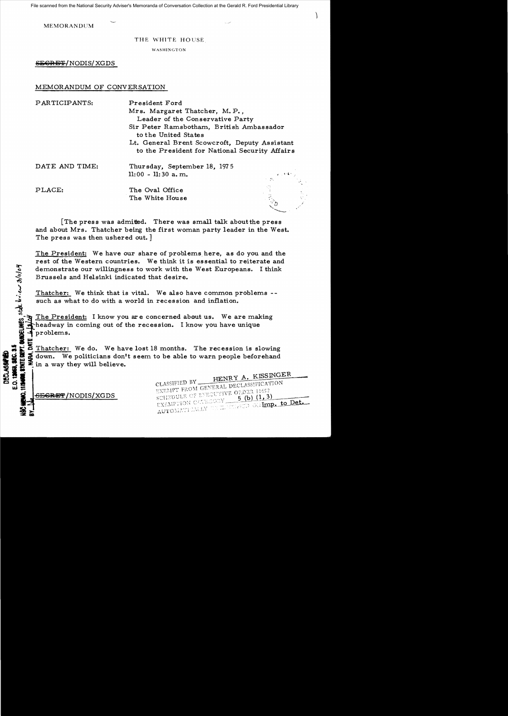File scanned from the National Security Adviser's Memoranda of Conversation Collection at the Gerald R. Ford Presidential Library

MEMORANDUM

THE WHITE HOUSE

)

WASHINGTON

SEGRET/NODIS/XGDS

## MEMORANDUM OF CONVERSATION

| PARTICIPANTS:  | President Ford<br>Mrs. Margaret Thatcher, M.P.,<br>Leader of the Conservative Party             |                                                                                                                                |
|----------------|-------------------------------------------------------------------------------------------------|--------------------------------------------------------------------------------------------------------------------------------|
|                | Sir Peter Ramsbotham, British Ambassador<br>to the United States                                |                                                                                                                                |
|                | Lt. General Brent Scowcroft, Deputy Assistant<br>to the President for National Security Affairs |                                                                                                                                |
| DATE AND TIME: | Thursday, September 18, 1975                                                                    |                                                                                                                                |
|                | $11:00 - 11:30$ a.m.                                                                            | $\mathbf{z} \in \mathbb{R}^{n \times d}$ for $\mathbf{z} \in \mathbb{R}^{d \times d}$<br>大 草山<br>$\frac{1}{2}$ , $\frac{1}{2}$ |
| PLACE:         | The Oval Office<br>The White House                                                              | A<br>Vi                                                                                                                        |

The press was admitted. There was small talk about the press and about Mrs. Thatcher being the first woman party leader in the West. The press was then ushered out. ]

The President: We have our share of problems here, as do you and the rest of the Western countries. We think it is essential to reiterate and demonstrate our willingness to work with the West Europeans. I think Brussels and Helsinki indicated that desire.

Thatcher: We think that is vital. We also have common problems -such as what to do with a world in recession and inflation.

 $\ddot{\mathcal{B}}$ The President: I know you are concerned about us. We are making Theadway in coming out of the recession. I know you have unique Sold The Presisted States of the American States of the States of the States of the States of the States of the States of the States of the States of the States of the States of the States of the States of the States of th

<sup>~</sup>• Thatcher: We do. We have lost 18 months. The recession is slowing II w i down. We politicians don't seem to be able to warn people beforehand **1.** a: in a way they will believe.

CLASSIFIED BY CLASSIFIED BY HEINRY PRESENTION EXEMPT FROM GENERAL DECEMBER 11652  $(5)(b)(1,3)$ EXEMPTION CALEGORY EXEMPTION CALENCONY 5 (B) A LA LODEL

<del>:ECRET</del> / NODIS / XGDS

H<br>o

**E.O.138** a&i::

~rGi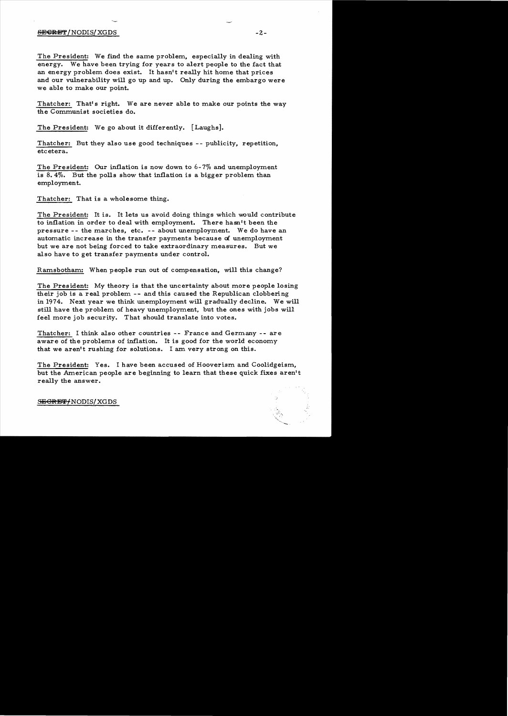## SJ3~'i' /NODIS/ XGDS -2

The President: We find the same problem, especially in dealing with energy. We have been trying for years to alert people to the fact that an energy problem does exist. It hasn't really hit home that prices and our vulnerability will go up and up. Only during the embargo were we able to make our point.

Thatcher: That's right. We are never able to make our points the way the Communist societies do.

The President: We go about it differently. [Laughs].

Thatcher: But they also use good techniques -- publicity, repetition, etcetera.

The President: Our inflation is now down to 6-7% and unemployment is 8.4%. But the polls show that inflation is a bigger problem than employment.

Thatcher: That is a wholesome thing.

The President: It is. It lets us avoid doing things which would contribute to inflation in order to deal with employment. There hasn't been the pressure -- the marches, etc. -- about unemployment. We do have an automatic increase in the transfer payments because *ci* unemployment but we are not being forced to take extraordinary measures. But we also have to get transfer payments under control.

Ramsbotham: When people run out of compensation, will this change?

The President: My theory is that the uncertainty about more people losing their job is a real problem -- and this caused the Republican clobbering in 1974. Next year we think unemployment will gradually decline. We will still have the problem of heavy unemployment, but the ones with jobs will feel more job security. That should translate into votes.

Thatcher: I think also other countries -- France and Germany -- are aware of the problems of inflation. It is good for the world economy that we aren't rushing for solutions. I am very strong on this.

The President: Yes. I have been accused of Hooverism and Coolidgeism, but the American people are beginning to learn that these quick fixes aren't really the answer.



S<del>ECRET/</del>NODIS/XGDS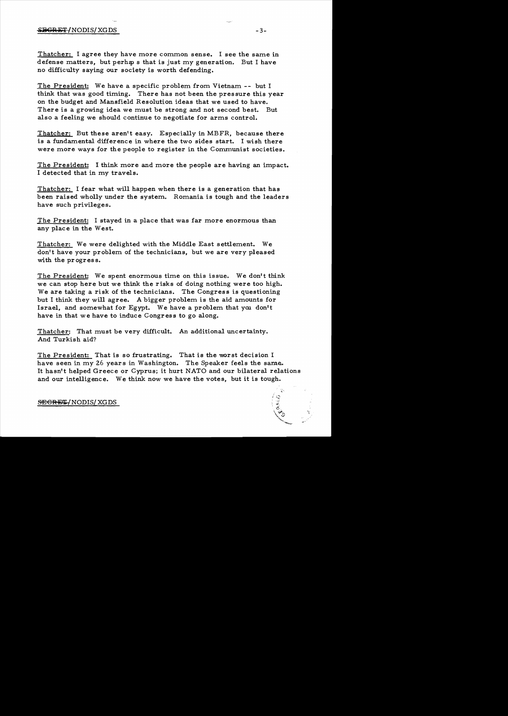## alignation of the SHGR ET (NODIS/XGDS  $-3-$

Thatcher: I agree they have more common sense. I see the same in defense matters, but perhaps that is just my generation. But I have no difficulty saying our society is worth defending.

The President: We have a specific problem from Vietnam -- but I think that was good timing. There has not been the pressure this year on the budget and Mansfield Resolution ideas that we used to have. There is a growing idea we must be strong and not second best. But also a feeling we should continue to negotiate for arms control.

Thatcher: But these aren't easy. Especially in MBFR, because there is a fundamental difference in where the two sides start. I wish there were more ways for the people to register in the Communist societies.

The President: I think more and more the people are having an impact. I detected that in my travels.

Thatcher: I fear what will happen when there is a generation that has been raised wholly under the system. Romania is tough and the leaders have such privileges.

The President: I stayed in a place that was far more enormous than any place in the West.

Thatcher: We were delighted with the Middle East settlement. We don't have your problem of the technicians, but we are very pleased with the progress.

The President: We spent enormous time on this issue. We don't think we can stop here but we think the risks of doing nothing were too high. We are taking a risk of the technicians. The Congress is questioning but I think they will agree. A bigger problem is the aid amounts for Israel, and somewhat for Egypt. We have a problem that you don't have in that we have to induce Congress to go along.

Thatcher: That must be very difficult. An additional uncertainty. And Turkish aid?

The President: That is so frustrating. That is the worst decision I have seen in my 26 years in Washington. The Speaker feels the same. It hasn't helped Greece or Cyprus; it hurt NATO and our bilateral relations and our intelligence. We think now we have the votes, but it is tough.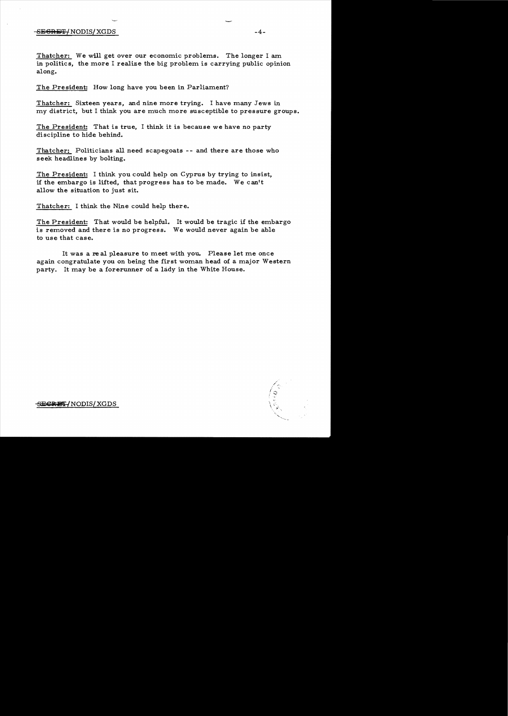## $-$ <del>SECRET/</del>NODIS/XGDS -4-

Thatcher: We will get over our economic problems. The longer I am in politics, the more I realize the big problem is carrying public opinion along.

The President: How long have you been in Parliament?

Thatcher: Sixteen years, and nine more trying. I have many Jews in my district, but I think you are much more susceptible to pressure groups.

The President: That is true, I think it is because we have no party discipline to hide behind.

Thatcher: Politicians all need scapegoats -- and there are those who seek headlines by bolting.

The President: I think you could help on Cyprus by trying to insist, if the embargo is lifted, that progress has to be made. We can't allow the situation to just sit.

Thatcher: I think the Nine could help there.

The President: That would be helpful. It would be tragic if the embargo is removed and there is no progress. We would never again be able to use that case.

It was a real pleasure to meet with you. Please let me once again congratulate you on being the first woman head of a major Western party. It may be a forerunner of a lady in the White House.

'".

<del>SE**CRET/**NODIS/XGDS</del>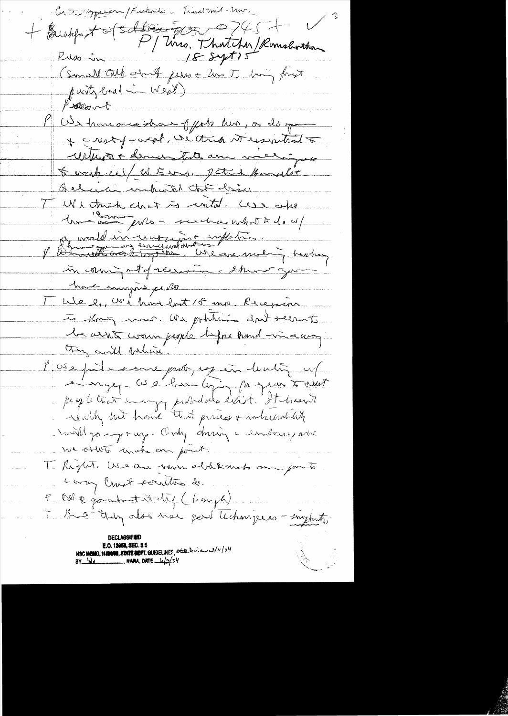Controller / Ferkinder - Tiend mil-2no. + Brushfort of Schling Est Control Romeborthon 18 syt 15 Puss in (Small talk out just les Thing forst punty load in West) Kolleant Ob homeone that of forts him, or do you \* Ensty-week, we think it essential William + demandate am meliguse to wask is / W. E was, patrick Howard's Quelicia combatal that desire TWI thick chat is initial. Case also In "Complete perchashed the do of a world in une int inflation.<br>Il Démonstration des concernations une motion in coming at of receiver a show you have mingue celle <u>We le voi hou fat 15 mp. Recepion</u> to slowing mones, Use publicing daily recounts le arrit comma papile before hand in a way thing and believe. Poiepileme por existents et le peopletion des la politiques de la province de la production de la production de la production de la production de la production de la production de la production de la production de la production de la production de la ruilly or young. Only during a combany when we other mote on point. T Reght, We are now ablekansk an porto Lory Crust scrutine ds. P Oll & go about it thing ( Langh) T B 5 thing also use good techniques - surprite, E.O. 1**2058, SEC. 3**.5 NSC MEMO, MANOS, STATE DEFT. GUIDELINES, State deview 3/11/04  $BY$   $lab$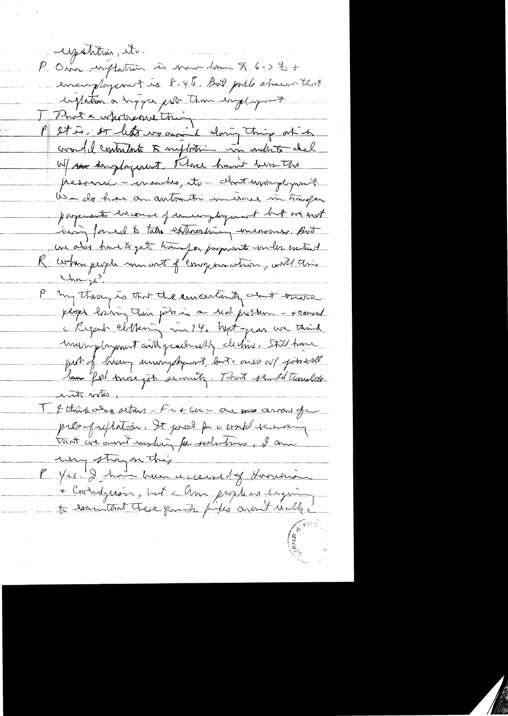upotition, etc. P Our inflation às mour donne & 6.5 % + encorplayement is 8.4%. But pulle stream that empation a suggar por time ingluyment T That a wholesand this doing this of h cradel contribute 5 mpt time in order del W/ so drugtogenent, Three hand him the pesonne - marches, its - chost uningloment Us als has a antonitor in increase in timogen pargements encourage permanylogement but one not high forced to take extraording measures. But un also havets get transpor payments under suitest K commissage une art of componention, with this  $\frac{(\lambda_{nn})^2}{2}$ P my there is that the emandanty about there plops haing their potates a real problem - xenused c Regard clippen, mi 74. hept gras un think muniquint will genelemently dechine Still have put of bircen uningship and both ones as jobstall law fill more job secondy. That should treaches its volus I think also arthur - Fut an - are no arrange prés préparent de pour la maison tant créannt mohig pe solutions, I am why strayer they P Yrs. I have her a cause by Homeria + Crondgeroin, but a Am prophase dryving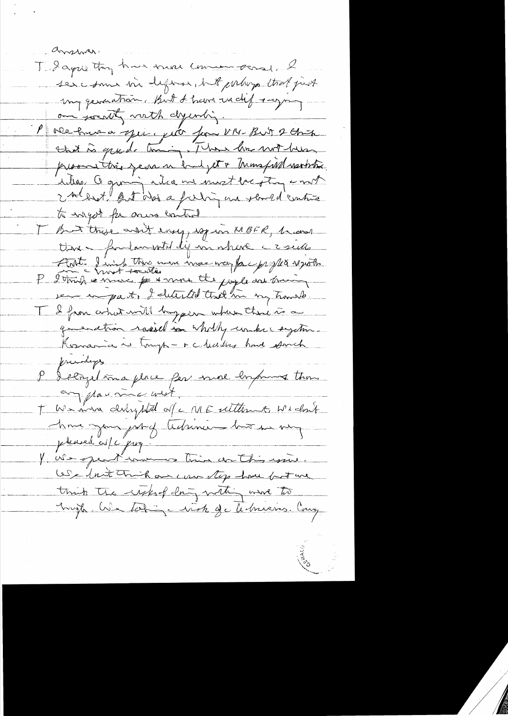anshim. Todays they have some commenced. I ser come in define, but proluga that just my generation. But I have we did saying. om society verth dyentig. P overhomme spie, pice pour VI4-But 2 Chita that is grade timing, I have been not been promottrès jeun un budjet & Monspiel varbitre. deling a giving inter me most begting innot 2 soldest last des a faling une should contiva to rayor for ones control I but these and energy espion MBFR, became ttere - faulmentel difini ihre crime Ant-linie Mrs mon mon verps par propter ver impart, I detected that his my hands I I from a hat will brogger when there is a greenation rassed in wholly unknewythe Konania is tough - r chaites have somet frankys P delige tima place per more emprunt those any play me wist. T We man derhysted of c ME utterme Widows pleased cos/c prof. V Ne spent von trin ca this win. We fait trick on can top how but me think the right day with we to Engle Na Lobin a vich de le mieros. Comp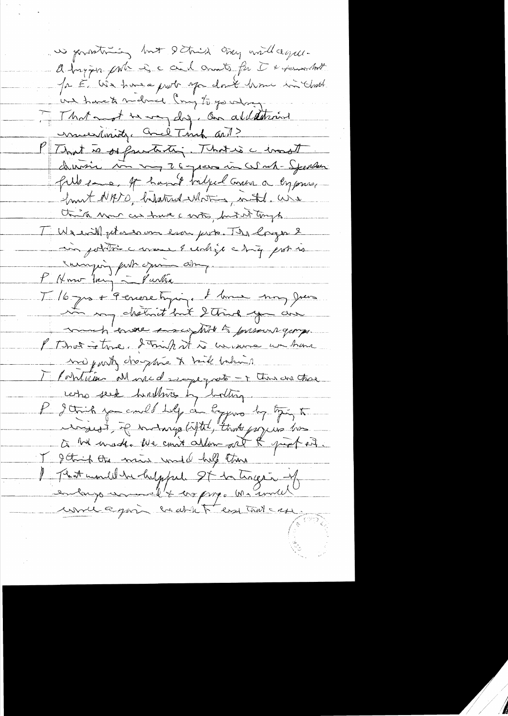we goodtning but I think try and agu. a tryin port is a civil and for it + formation Ja E We have prob of don't have in And We have to make long to go what. That not be way day. On allatterint munderstand Cred Timp and? P That is organization That is a const chivin son vy 26 years in Write-Spender fille en est hand bilged comen a ly press front NATO, hatatrid Whiting mittel. We think was as true a with, but it tongs. TUI evil peter en ever prote. The longer & in joite cure & unhigh chiq protis surrying furth your aime. L'Hmo try Martin Il 6 par le Periere tyrique de la man Juin in my chemit but 2 think you can much enover enought to pressure george. I That is trade I trink it is uncourse we have me just chaptie & tail behind Montrieur Monsed regregato - Time ana chose who seek hultures by bottom P gain you could help on Eggens by tying to ingest, if inding liftel, that popers has to be unader the court allow one of probation. I getting the moins under help there I That month he helpful St to trage in y enlargement + croping. Ma simille would equin coat to end trive ase.